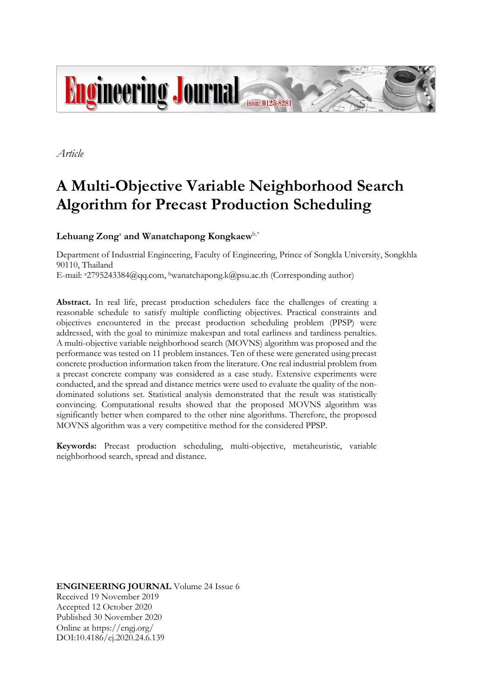

*Article*

# **A Multi-Objective Variable Neighborhood Search Algorithm for Precast Production Scheduling**

 ${\rm Lehuang\, Zong^a}$  and Wanatchapong  ${\rm Kongknew}^{\rm b,*}$ 

Department of Industrial Engineering, Faculty of Engineering, Prince of Songkla University, Songkhla 90110, Thailand E-mail: a2795243384@qq.com, <sup>b</sup>wanatchapong.k@psu.ac.th (Corresponding author)

Abstract. In real life, precast production schedulers face the challenges of creating a reasonable schedule to satisfy multiple conflicting objectives. Practical constraints and objectives encountered in the precast production scheduling problem (PPSP) were addressed, with the goal to minimize makespan and total earliness and tardiness penalties. A multi-objective variable neighborhood search (MOVNS) algorithm was proposed and the performance was tested on 11 problem instances. Ten of these were generated using precast concrete production information taken from the literature. One real industrial problem from a precast concrete company was considered as a case study. Extensive experiments were conducted, and the spread and distance metrics were used to evaluate the quality of the nondominated solutions set. Statistical analysis demonstrated that the result was statistically convincing. Computational results showed that the proposed MOVNS algorithm was significantly better when compared to the other nine algorithms. Therefore, the proposed MOVNS algorithm was a very competitive method for the considered PPSP.

**Keywords:** Precast production scheduling, multi-objective, metaheuristic, variable neighborhood search, spread and distance.

**ENGINEERING JOURNAL** Volume 24 Issue 6 Received 19 November 2019 Accepted 12 October 2020 Published 30 November 2020 Online at https://engj.org/ DOI:10.4186/ej.2020.24.6.139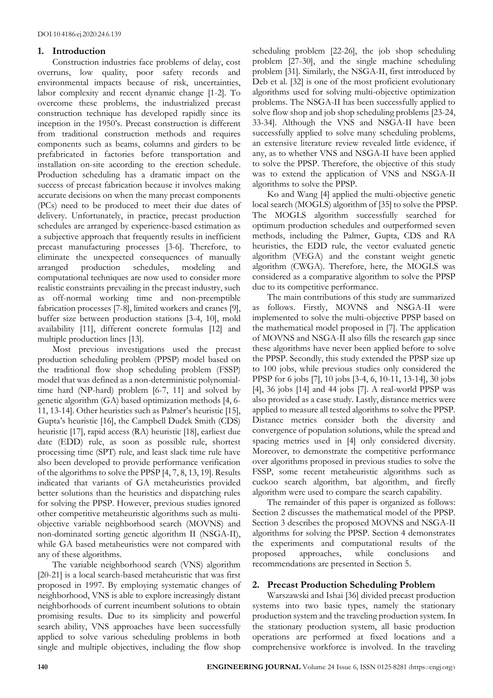# **1. Introduction**

Construction industries face problems of delay, cost overruns, low quality, poor safety records and environmental impacts because of risk, uncertainties, labor complexity and recent dynamic change [1-2]. To overcome these problems, the industrialized precast construction technique has developed rapidly since its inception in the 1950's. Precast construction is different from traditional construction methods and requires components such as beams, columns and girders to be prefabricated in factories before transportation and installation on-site according to the erection schedule. Production scheduling has a dramatic impact on the success of precast fabrication because it involves making accurate decisions on when the many precast components (PCs) need to be produced to meet their due dates of delivery. Unfortunately, in practice, precast production schedules are arranged by experience-based estimation as a subjective approach that frequently results in inefficient precast manufacturing processes [3-6]. Therefore, to eliminate the unexpected consequences of manually arranged production schedules, modeling and computational techniques are now used to consider more realistic constraints prevailing in the precast industry, such as off-normal working time and non-preemptible fabrication processes [7-8], limited workers and cranes [9], buffer size between production stations [3-4, 10], mold availability [11], different concrete formulas [12] and multiple production lines [13].

Most previous investigations used the precast production scheduling problem (PPSP) model based on the traditional flow shop scheduling problem (FSSP) model that was defined as a non-deterministic polynomialtime hard (NP-hard) problem [6-7, 11] and solved by genetic algorithm (GA) based optimization methods [4, 6- 11, 13-14]. Other heuristics such as Palmer's heuristic [15], Gupta's heuristic [16], the Campbell Dudek Smith (CDS) heuristic [17], rapid access (RA) heuristic [18], earliest due date (EDD) rule, as soon as possible rule, shortest processing time (SPT) rule, and least slack time rule have also been developed to provide performance verification of the algorithms to solve the PPSP [4, 7, 8, 13, 19]. Results indicated that variants of GA metaheuristics provided better solutions than the heuristics and dispatching rules for solving the PPSP. However, previous studies ignored other competitive metaheuristic algorithms such as multiobjective variable neighborhood search (MOVNS) and non-dominated sorting genetic algorithm II (NSGA-II), while GA based metaheuristics were not compared with any of these algorithms.

The variable neighborhood search (VNS) algorithm [20-21] is a local search-based metaheuristic that was first proposed in 1997. By employing systematic changes of neighborhood, VNS is able to explore increasingly distant neighborhoods of current incumbent solutions to obtain promising results. Due to its simplicity and powerful search ability, VNS approaches have been successfully applied to solve various scheduling problems in both single and multiple objectives, including the flow shop

scheduling problem [22-26], the job shop scheduling problem [27-30], and the single machine scheduling problem [31]. Similarly, the NSGA-II, first introduced by Deb et al. [32] is one of the most proficient evolutionary algorithms used for solving multi-objective optimization problems. The NSGA-II has been successfully applied to solve flow shop and job shop scheduling problems [23-24, 33-34]. Although the VNS and NSGA-II have been successfully applied to solve many scheduling problems, an extensive literature review revealed little evidence, if any, as to whether VNS and NSGA-II have been applied to solve the PPSP. Therefore, the objective of this study was to extend the application of VNS and NSGA-II algorithms to solve the PPSP.

Ko and Wang [4] applied the multi-objective genetic local search (MOGLS) algorithm of [35] to solve the PPSP. The MOGLS algorithm successfully searched for optimum production schedules and outperformed seven methods, including the Palmer, Gupta, CDS and RA heuristics, the EDD rule, the vector evaluated genetic algorithm (VEGA) and the constant weight genetic algorithm (CWGA). Therefore, here, the MOGLS was considered as a comparative algorithm to solve the PPSP due to its competitive performance.

The main contributions of this study are summarized as follows. Firstly, MOVNS and NSGA-II were implemented to solve the multi-objective PPSP based on the mathematical model proposed in [7]. The application of MOVNS and NSGA-II also fills the research gap since these algorithms have never been applied before to solve the PPSP. Secondly, this study extended the PPSP size up to 100 jobs, while previous studies only considered the PPSP for 6 jobs [7], 10 jobs [3-4, 6, 10-11, 13-14], 30 jobs [4], 36 jobs [14] and 44 jobs [7]. A real-world PPSP was also provided as a case study. Lastly, distance metrics were applied to measure all tested algorithms to solve the PPSP. Distance metrics consider both the diversity and convergence of population solutions, while the spread and spacing metrics used in [4] only considered diversity. Moreover, to demonstrate the competitive performance over algorithms proposed in previous studies to solve the FSSP, some recent metaheuristic algorithms such as cuckoo search algorithm, bat algorithm, and firefly algorithm were used to compare the search capability.

The remainder of this paper is organized as follows: Section 2 discusses the mathematical model of the PPSP. Section 3 describes the proposed MOVNS and NSGA-II algorithms for solving the PPSP. Section 4 demonstrates the experiments and computational results of the proposed approaches, while conclusions and recommendations are presented in Section 5.

# **2. Precast Production Scheduling Problem**

Warszawski and Ishai [36] divided precast production systems into two basic types, namely the stationary production system and the traveling production system. In the stationary production system, all basic production operations are performed at fixed locations and a comprehensive workforce is involved. In the traveling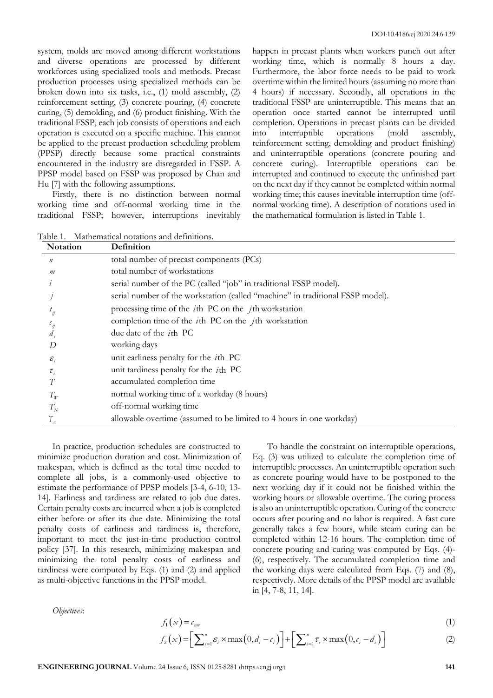system, molds are moved among different workstations and diverse operations are processed by different workforces using specialized tools and methods. Precast production processes using specialized methods can be broken down into six tasks, i.e., (1) mold assembly, (2) reinforcement setting, (3) concrete pouring, (4) concrete curing, (5) demolding, and (6) product finishing. With the traditional FSSP, each job consists of operations and each operation is executed on a specific machine. This cannot be applied to the precast production scheduling problem (PPSP) directly because some practical constraints encountered in the industry are disregarded in FSSP. A PPSP model based on FSSP was proposed by Chan and Hu [7] with the following assumptions.

Firstly, there is no distinction between normal working time and off-normal working time in the traditional FSSP; however, interruptions inevitably happen in precast plants when workers punch out after working time, which is normally 8 hours a day. Furthermore, the labor force needs to be paid to work overtime within the limited hours (assuming no more than 4 hours) if necessary. Secondly, all operations in the traditional FSSP are uninterruptible. This means that an operation once started cannot be interrupted until completion. Operations in precast plants can be divided into interruptible operations (mold assembly, reinforcement setting, demolding and product finishing) and uninterruptible operations (concrete pouring and concrete curing). Interruptible operations can be interrupted and continued to execute the unfinished part on the next day if they cannot be completed within normal working time; this causes inevitable interruption time (offnormal working time). A description of notations used in the mathematical formulation is listed in Table 1.

|--|

| Notation          | Definition                                                                     |
|-------------------|--------------------------------------------------------------------------------|
| $\boldsymbol{n}$  | total number of precast components (PCs)                                       |
| m                 | total number of workstations                                                   |
|                   | serial number of the PC (called "job" in traditional FSSP model).              |
|                   | serial number of the workstation (called "machine" in traditional FSSP model). |
| $\iota_{ij}$      | processing time of the $i$ th PC on the $j$ th workstation                     |
| $\iota_{ii}$      | completion time of the $i$ th PC on the $j$ th workstation                     |
|                   | due date of the <i>i</i> th PC                                                 |
| D                 | working days                                                                   |
| $\varepsilon_{i}$ | unit earliness penalty for the $i$ th PC                                       |
| $\tau_{_i}$       | unit tardiness penalty for the <i>i</i> th PC                                  |
|                   | accumulated completion time                                                    |
| $T_{W}$           | normal working time of a workday (8 hours)                                     |
| $T_N$             | off-normal working time                                                        |
|                   | allowable overtime (assumed to be limited to 4 hours in one workday)           |

In practice, production schedules are constructed to minimize production duration and cost. Minimization of makespan, which is defined as the total time needed to complete all jobs, is a commonly-used objective to estimate the performance of PPSP models [3-4, 6-10, 13- 14]. Earliness and tardiness are related to job due dates. Certain penalty costs are incurred when a job is completed either before or after its due date. Minimizing the total penalty costs of earliness and tardiness is, therefore, important to meet the just-in-time production control policy [37]. In this research, minimizing makespan and minimizing the total penalty costs of earliness and tardiness were computed by Eqs. (1) and (2) and applied as multi-objective functions in the PPSP model.

To handle the constraint on interruptible operations, Eq. (3) was utilized to calculate the completion time of interruptible processes. An uninterruptible operation such as concrete pouring would have to be postponed to the next working day if it could not be finished within the working hours or allowable overtime. The curing process is also an uninterruptible operation. Curing of the concrete occurs after pouring and no labor is required. A fast cure generally takes a few hours, while steam curing can be completed within 12-16 hours. The completion time of concrete pouring and curing was computed by Eqs. (4)- (6), respectively. The accumulated completion time and the working days were calculated from Eqs. (7) and (8), respectively. More details of the PPSP model are available in [4, 7-8, 11, 14].

*Objectives*:

$$
f_1(x) = c_{nm} \tag{1}
$$

$$
f_2(x) = \left[\sum_{i=1}^n \varepsilon_i \times \max(0, d_i - c_i)\right] + \left[\sum_{i=1}^n \tau_i \times \max(0, c_i - d_i)\right]
$$
 (2)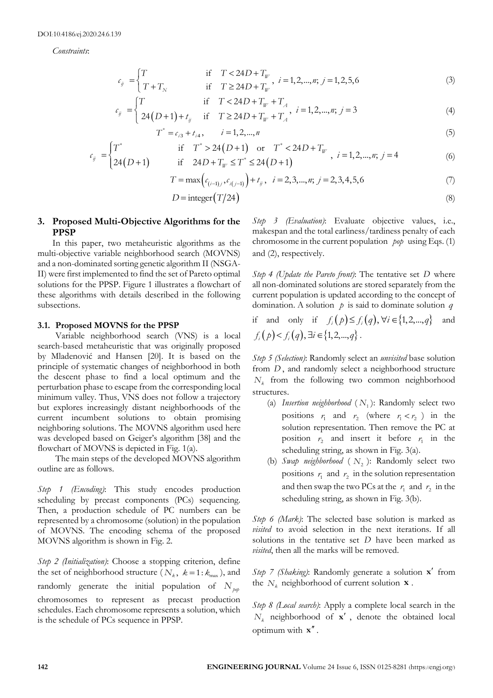*Constraints*:

$$
c_{ij} = \begin{cases} T & \text{if } T < 24D + T_w \\ T + T_N & \text{if } T \ge 24D + T_w \end{cases}, i = 1, 2, ..., n; j = 1, 2, 5, 6 \tag{3}
$$

$$
c_{ii} = \begin{cases} T & \text{if } T < 24D + T_w + T_A \\ T = 1, 2, ..., n; i = 3 \end{cases}
$$

$$
c_{ij} =\begin{cases} T & \text{if } T \ge 24D + T_w, \quad i = 1, 2, ..., n; \ j = 1, 2, 5, 6 \end{cases}
$$
(3)  

$$
c_{ij} =\begin{cases} T & \text{if } T < 24D + T_w + T_A \\ 24(D+1) + t_{ij} & \text{if } T \ge 24D + T_w + T_A, \quad i = 1, 2, ..., n; \ j = 3 \end{cases}
$$
(4)

$$
T^* = c_{i3} + t_{i4}, \qquad i = 1, 2, \dots, n
$$
 (5)

$$
c_{ij} = \begin{cases} T^* & \text{if } T^* > 24(D+1) \text{ or } T^* < 24D + T_w \\ 24(D+1) & \text{if } 24D + T_w \le T^* \le 24(D+1) \end{cases}, i = 1, 2, ..., n; j = 4
$$
 (6)

$$
T = \max\left(c_{(i-1),j}, c_{i(j-1)}\right) + t_{ij}, \quad i = 2, 3, \dots, n; \ j = 2, 3, 4, 5, 6 \tag{7}
$$

$$
D = \text{integer}(T/24)
$$
 (8)

# **3. Proposed Multi-Objective Algorithms for the PPSP**

In this paper, two metaheuristic algorithms as the multi-objective variable neighborhood search (MOVNS) and a non-dominated sorting genetic algorithm II (NSGA-II) were first implemented to find the set of Pareto optimal solutions for the PPSP. Figure 1 illustrates a flowchart of these algorithms with details described in the following subsections.

#### **3.1. Proposed MOVNS for the PPSP**

Variable neighborhood search (VNS) is a local search-based metaheuristic that was originally proposed by Mladenović and Hansen [20]. It is based on the principle of systematic changes of neighborhood in both the descent phase to find a local optimum and the perturbation phase to escape from the corresponding local minimum valley. Thus, VNS does not follow a trajectory but explores increasingly distant neighborhoods of the current incumbent solutions to obtain promising neighboring solutions. The MOVNS algorithm used here was developed based on Geiger's algorithm [38] and the flowchart of MOVNS is depicted in Fig. 1(a).

The main steps of the developed MOVNS algorithm outline are as follows.

*Step 1 (Encoding)*: This study encodes production scheduling by precast components (PCs) sequencing. Then, a production schedule of PC numbers can be represented by a chromosome (solution) in the population of MOVNS. The encoding schema of the proposed MOVNS algorithm is shown in Fig. 2.

*Step 2 (Initialization)*: Choose a stopping criterion, define the set of neighborhood structure  $(N_k, k=1:k_{max})$ , and randomly generate the initial population of  $N_{\text{pop}}$ chromosomes to represent as precast production schedules. Each chromosome represents a solution, which is the schedule of PCs sequence in PPSP.

*Step 3 (Evaluation)*: Evaluate objective values, i.e., makespan and the total earliness/tardiness penalty of each chromosome in the current population *pop* using Eqs. (1) and (2), respectively.

*Step 4 (Update the Pareto front)*: The tentative set *D* where all non-dominated solutions are stored separately from the current population is updated according to the concept of domination. A solution *p* is said to dominate solution *q*

if and only if 
$$
f_i(p) \le f_i(q)
$$
,  $\forall i \in \{1, 2, ..., q\}$  and  
 $f_i(p) < f_i(q)$ ,  $\exists i \in \{1, 2, ..., q\}$ .

*Step 5 (Selection)*: Randomly select an *unvisited* base solution from *D* , and randomly select a neighborhood structure *N<sup>k</sup>* from the following two common neighborhood structures.

- (a) *Insertion neighborhood*  $(N_1)$ : Randomly select two positions  $r_1$  and  $r_2$  (where  $r_1 < r_2$ ) in the solution representation. Then remove the PC at position  $r_2$  and insert it before  $r_1$  in the scheduling string, as shown in Fig. 3(a).
- (b) *Swap neighborhood* ( *N*2 ): Randomly select two positions  $r_1$  and  $r_2$  in the solution representation and then swap the two PCs at the  $r_1$  and  $r_2$  in the scheduling string, as shown in Fig. 3(b).

*Step 6 (Mark)*: The selected base solution is marked as *visited* to avoid selection in the next iterations. If all solutions in the tentative set *D* have been marked as *visited*, then all the marks will be removed.

Step 7 (Shaking): Randomly generate a solution **x**<sup>'</sup> from the  $N_k$  neighborhood of current solution  $\mathbf{x}$ .

*Step 8 (Local search)*: Apply a complete local search in the  $N_k$  neighborhood of **x**<sup>'</sup>, denote the obtained local optimum with **x** .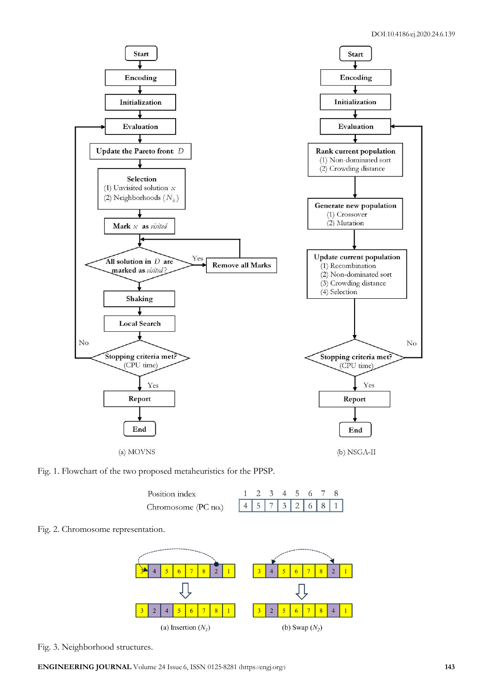

Fig. 1. Flowchart of the two proposed metaheuristics for the PPSP.

| Position index      |  |  | 23456 |  |                 |
|---------------------|--|--|-------|--|-----------------|
| Chromosome (PC no.) |  |  |       |  | 4 5 7 3 2 6 8 1 |





Fig. 3. Neighborhood structures.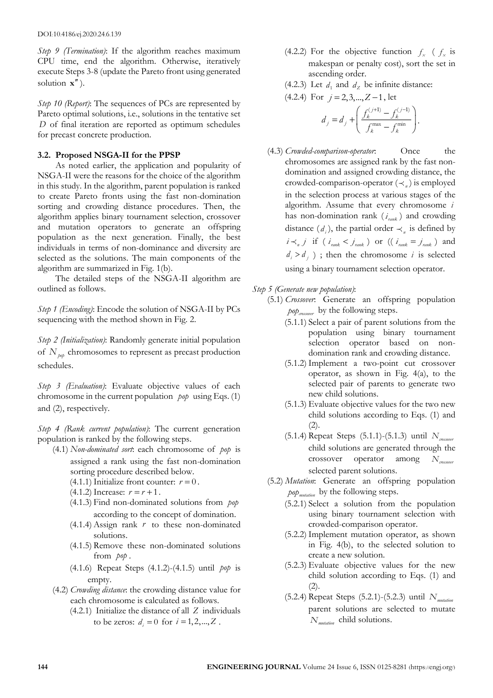*Step 9 (Termination)*: If the algorithm reaches maximum CPU time, end the algorithm. Otherwise, iteratively execute Steps 3-8 (update the Pareto front using generated solution **x** ).

*Step 10 (Report)*: The sequences of PCs are represented by Pareto optimal solutions, i.e., solutions in the tentative set *D* of final iteration are reported as optimum schedules for precast concrete production.

## **3.2. Proposed NSGA-II for the PPSP**

As noted earlier, the application and popularity of NSGA-II were the reasons for the choice of the algorithm in this study. In the algorithm, parent population is ranked to create Pareto fronts using the fast non-domination sorting and crowding distance procedures. Then, the algorithm applies binary tournament selection, crossover and mutation operators to generate an offspring population as the next generation. Finally, the best individuals in terms of non-dominance and diversity are selected as the solutions. The main components of the algorithm are summarized in Fig. 1(b).

The detailed steps of the NSGA-II algorithm are outlined as follows.

*Step 1 (Encoding)*: Encode the solution of NSGA-II by PCs sequencing with the method shown in Fig. 2.

*Step 2 (Initialization)*: Randomly generate initial population of  $N_{\text{pop}}$  chromosomes to represent as precast production schedules.

*Step 3 (Evaluation)*: Evaluate objective values of each chromosome in the current population *pop* using Eqs. (1) and (2), respectively.

*Step 4 (Rank current population)*: The current generation population is ranked by the following steps.

- (4.1) *Non-dominated sort*: each chromosome of *pop* is assigned a rank using the fast non-domination sorting procedure described below.
	- (4.1.1) Initialize front counter:  $r = 0$ .
	- $(4.1.2)$  Increase:  $r = r + 1$ .
	- (4.1.3) Find non-dominated solutions from *pop* according to the concept of domination.
	- (4.1.4) Assign rank *r* to these non-dominated solutions.
	- (4.1.5) Remove these non-dominated solutions from *pop* .
	- (4.1.6) Repeat Steps (4.1.2)-(4.1.5) until *pop* is empty.
- (4.2) *Crowding distance*: the crowding distance value for each chromosome is calculated as follows.
	- (4.2.1) Initialize the distance of all *Z* individuals to be zeros:  $d_i = 0$  for  $i = 1, 2, ..., Z$ .
- (4.2.2) For the objective function  $f_x$  ( $f_x$  is makespan or penalty cost), sort the set in ascending order.
- (4.2.3) Let  $d_1$  and  $d_2$  be infinite distance:

 $(4.2.4)$  For  $j = 2, 3, \dots, Z-1$ , let

$$
d_j = d_j + \left( \frac{f_k^{(j+1)} - f_k^{(j-1)}}{f_k^{\max} - f_k^{\min}} \right).
$$

- (4.3) *Crowded-comparison-operator*: Once the chromosomes are assigned rank by the fast nondomination and assigned crowding distance, the crowded-comparison-operator  $(\prec_n)$  is employed in the selection process at various stages of the algorithm. Assume that every chromosome *i* has non-domination rank  $(i_{rank})$  and crowding distance  $(d_i)$ , the partial order  $\prec_n$  is defined by  $i \prec_n j$  if ( $i_{rank} < j_{rank}$ ) or (( $i_{rank} = j_{rank}$ ) and  $d_i > d_j$ ); then the chromosome *i* is selected using a binary tournament selection operator.
- *Step 5 (Generate new population)*:
	- (5.1) *Crossover*: Generate an offspring population *crossover pop* by the following steps.
		- (5.1.1) Select a pair of parent solutions from the population using binary tournament selection operator based on nondomination rank and crowding distance.
		- (5.1.2) Implement a two-point cut crossover operator, as shown in Fig. 4(a), to the selected pair of parents to generate two new child solutions.
		- (5.1.3) Evaluate objective values for the two new child solutions according to Eqs. (1) and  $(2).$
		- (5.1.4) Repeat Steps (5.1.1)-(5.1.3) until *Ncrossover* child solutions are generated through the crossover operator among *Ncrossover* selected parent solutions.
	- (5.2) *Mutation*: Generate an offspring population *mutation pop* by the following steps.
		- (5.2.1) Select a solution from the population using binary tournament selection with crowded-comparison operator.
		- (5.2.2) Implement mutation operator, as shown in Fig. 4(b), to the selected solution to create a new solution.
		- (5.2.3) Evaluate objective values for the new child solution according to Eqs. (1) and (2).
		- (5.2.4) Repeat Steps (5.2.1)-(5.2.3) until *Nmutation* parent solutions are selected to mutate *Nmutation* child solutions.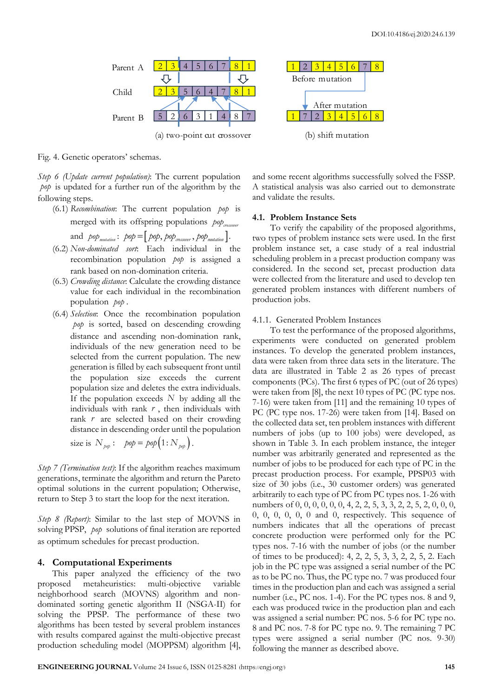

Fig. 4. Genetic operators' schemas.

*Step 6 (Update current population)*: The current population *pop* is updated for a further run of the algorithm by the following steps.

- (6.1) *Recombination*: The current population *pop* is merged with its offspring populations  $p_{op}$ <sub>crossover</sub> and  $p\circ p$ <sub>mutation</sub> :  $p\circ p = [p\circ p, p\circ p_{\textit{crossover}}, p\circ p_{\textit{mutation}}]$ .
- (6.2) *Non-dominated sort*: Each individual in the recombination population *pop* is assigned a rank based on non-domination criteria.
- (6.3) *Crowding distance*: Calculate the crowding distance value for each individual in the recombination population *pop* .
- (6.4) *Selection*: Once the recombination population *pop* is sorted, based on descending crowding distance and ascending non-domination rank, individuals of the new generation need to be selected from the current population. The new generation is filled by each subsequent front until the population size exceeds the current population size and deletes the extra individuals. If the population exceeds *N* by adding all the individuals with rank *r* , then individuals with rank  $r$  are selected based on their crowding distance in descending order until the population

size is 
$$
N_{\text{pop}}
$$
:  $\text{pop} = \text{pop}\left(1 : N_{\text{pop}}\right)$ .

*Step 7 (Termination test)*: If the algorithm reaches maximum generations, terminate the algorithm and return the Pareto optimal solutions in the current population; Otherwise, return to Step 3 to start the loop for the next iteration.

*Step 8 (Report)*: Similar to the last step of MOVNS in solving PPSP, *pop* solutions of final iteration are reported as optimum schedules for precast production.

## **4. Computational Experiments**

This paper analyzed the efficiency of the two proposed metaheuristics: multi-objective variable neighborhood search (MOVNS) algorithm and nondominated sorting genetic algorithm II (NSGA-II) for solving the PPSP. The performance of these two algorithms has been tested by several problem instances with results compared against the multi-objective precast production scheduling model (MOPPSM) algorithm [4], and some recent algorithms successfully solved the FSSP. A statistical analysis was also carried out to demonstrate and validate the results.

## **4.1. Problem Instance Sets**

To verify the capability of the proposed algorithms, two types of problem instance sets were used. In the first problem instance set, a case study of a real industrial scheduling problem in a precast production company was considered. In the second set, precast production data were collected from the literature and used to develop ten generated problem instances with different numbers of production jobs.

#### 4.1.1. Generated Problem Instances

To test the performance of the proposed algorithms, experiments were conducted on generated problem instances. To develop the generated problem instances, data were taken from three data sets in the literature. The data are illustrated in Table 2 as 26 types of precast components (PCs). The first 6 types of PC (out of 26 types) were taken from [8], the next 10 types of PC (PC type nos. 7-16) were taken from [11] and the remaining 10 types of PC (PC type nos. 17-26) were taken from [14]. Based on the collected data set, ten problem instances with different numbers of jobs (up to 100 jobs) were developed, as shown in Table 3. In each problem instance, the integer number was arbitrarily generated and represented as the number of jobs to be produced for each type of PC in the precast production process. For example, PPSP03 with size of 30 jobs (i.e., 30 customer orders) was generated arbitrarily to each type of PC from PC types nos. 1-26 with numbers of 0, 0, 0, 0, 0, 0, 4, 2, 2, 5, 3, 3, 2, 2, 5, 2, 0, 0, 0, 0, 0, 0, 0, 0, 0 and 0, respectively. This sequence of numbers indicates that all the operations of precast concrete production were performed only for the PC types nos. 7-16 with the number of jobs (or the number of times to be produced): 4, 2, 2, 5, 3, 3, 2, 2, 5, 2. Each job in the PC type was assigned a serial number of the PC as to be PC no. Thus, the PC type no. 7 was produced four times in the production plan and each was assigned a serial number (i.e., PC nos. 1-4). For the PC types nos. 8 and 9, each was produced twice in the production plan and each was assigned a serial number: PC nos. 5-6 for PC type no. 8 and PC nos. 7-8 for PC type no. 9. The remaining 7 PC types were assigned a serial number (PC nos. 9-30) following the manner as described above.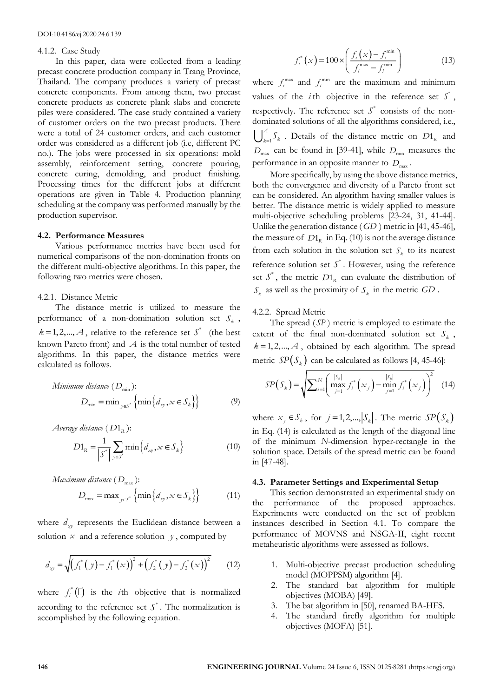### 4.1.2. Case Study

In this paper, data were collected from a leading precast concrete production company in Trang Province, Thailand. The company produces a variety of precast concrete components. From among them, two precast concrete products as concrete plank slabs and concrete piles were considered. The case study contained a variety of customer orders on the two precast products. There were a total of 24 customer orders, and each customer order was considered as a different job (i.e, different PC no.). The jobs were processed in six operations: mold assembly, reinforcement setting, concrete pouring, concrete curing, demolding, and product finishing. Processing times for the different jobs at different operations are given in Table 4. Production planning scheduling at the company was performed manually by the production supervisor.

#### **4.2. Performance Measures**

Various performance metrics have been used for numerical comparisons of the non-domination fronts on the different multi-objective algorithms. In this paper, the following two metrics were chosen.

#### 4.2.1. Distance Metric

The distance metric is utilized to measure the performance of a non-domination solution set  $S_k$ ,  $k = 1, 2, \dots, A$ , relative to the reference set  $S^*$  (the best known Pareto front) and *A* is the total number of tested algorithms. In this paper, the distance metrics were calculated as follows.

*Minimum distance* (
$$
D_{\text{min}}
$$
):  
\n
$$
D_{\text{min}} = \min_{y \in S^*} \{ \min \{ d_{xy}, x \in S_k \} \}
$$
\n(9)

*Average distance* ( *D*1*<sup>R</sup>* ):

$$
D1_R = \frac{1}{\left|S^*\right|} \sum_{y \in S^*} \min\left\{d_{xy}, x \in S_k\right\} \tag{10}
$$

$$
Maximum distance (D_{\text{max}}):
$$
  

$$
D_{\text{max}} = \max_{y \in S^*} \{ \min \{ d_{xy}, x \in S_k \} \}
$$
(11)

where  $d_{xy}$  represents the Euclidean distance between a solution  $x$  and a reference solution  $y$ , computed by

$$
d_{xy} = \sqrt{\left(f_1^*\left(y\right) - f_1^*\left(x\right)\right)^2 + \left(f_2^*\left(y\right) - f_2^*\left(x\right)\right)^2} \qquad (12)
$$

where  $f_i^*(\Box)$  is the *i*th objective that is normalized according to the reference set  $S^*$ . The normalization is accomplished by the following equation.

$$
f_i^*(x) = 100 \times \left( \frac{f_i(x) - f_i^{\min}}{f_i^{\max} - f_i^{\min}} \right)
$$
 (13)

where  $f_i^{\text{max}}$  and  $f_i^{\text{min}}$  are the maximum and minimum values of the *i*th objective in the reference set  $S^*$ , respectively. The reference set  $S^*$  consists of the nondominated solutions of all the algorithms considered, i.e., 1 *A*  $\int_{k=1}^{1} S_k$ . Details of the distance metric on  $D1_R$  and  $D_{\text{max}}$  can be found in [39-41], while  $D_{\text{min}}$  measures the performance in an opposite manner to  $D_{\text{max}}$ .

More specifically, by using the above distance metrics, both the convergence and diversity of a Pareto front set can be considered. An algorithm having smaller values is better. The distance metric is widely applied to measure multi-objective scheduling problems [23-24, 31, 41-44]. Unlike the generation distance ( *GD* ) metric in [41, 45-46], the measure of  $D1_R$  in Eq. (10) is not the average distance from each solution in the solution set  $S_k$  to its nearest reference solution set  $S^*$ . However, using the reference set  $S^*$ , the metric  $D1_R$  can evaluate the distribution of  $S_k$  as well as the proximity of  $S_k$  in the metric  $GD$ .

#### 4.2.2. Spread Metric

The spread ( *SP* ) metric is employed to estimate the extent of the final non-dominated solution set  $S_k$ ,  $k = 1, 2, \dots, A$ , obtained by each algorithm. The spread metric  $SP(S_k)$  can be calculated as follows [4, 45-46]:

$$
SP(S_k) = \sqrt{\sum_{i=1}^{N} \left( \max_{j=1}^{|S_k|} f_i^*(x_j) - \min_{j=1}^{|S_k|} f_i^*(x_j) \right)^2} \quad (14)
$$

where  $x_j \in S_k$ , for  $j = 1, 2, ..., |S_k|$ . The metric  $SP(S_k)$ in Eq. (14) is calculated as the length of the diagonal line of the minimum *N*-dimension hyper-rectangle in the solution space. Details of the spread metric can be found in [47-48].

#### **4.3. Parameter Settings and Experimental Setup**

This section demonstrated an experimental study on the performance of the proposed approaches. Experiments were conducted on the set of problem instances described in Section 4.1. To compare the performance of MOVNS and NSGA-II, eight recent metaheuristic algorithms were assessed as follows.

- 1. Multi-objective precast production scheduling model (MOPPSM) algorithm [4].
- 2. The standard bat algorithm for multiple objectives (MOBA) [49].
- 3. The bat algorithm in [50], renamed BA-HFS.
- 4. The standard firefly algorithm for multiple objectives (MOFA) [51].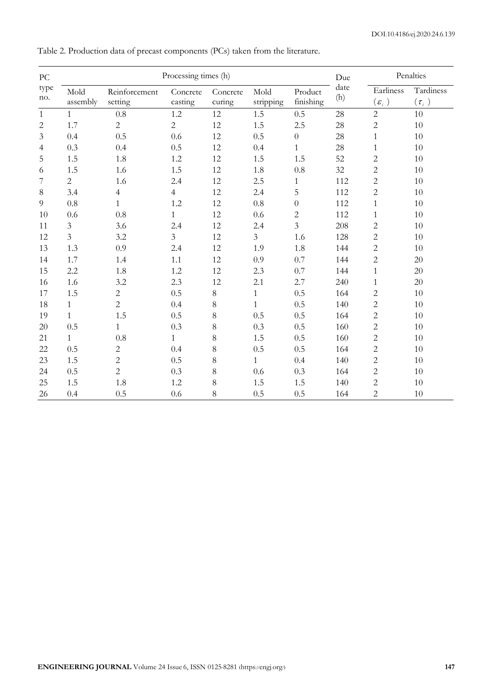| $\rm{PC}$      |                |                | Processing times (h) |          |                |                  | Due         | Penalties                            |            |
|----------------|----------------|----------------|----------------------|----------|----------------|------------------|-------------|--------------------------------------|------------|
| type           | Mold           | Reinforcement  | Concrete             | Concrete | Mold           | Product          | date<br>(h) | Earliness                            | Tardiness  |
| no.            | assembly       | setting        | casting              | curing   | stripping      | finishing        |             | $(\varepsilon_{i}^{\phantom{\dag}})$ | $(\tau_i)$ |
| $\mathbf{1}$   | $\mathbf{1}$   | $0.8\,$        | $1.2\,$              | 12       | 1.5            | 0.5              | 28          | $\overline{c}$                       | 10         |
| $\overline{2}$ | 1.7            | $\overline{c}$ | $\overline{c}$       | 12       | 1.5            | 2.5              | 28          | $\sqrt{2}$                           | 10         |
| 3              | 0.4            | 0.5            | 0.6                  | 12       | 0.5            | $\boldsymbol{0}$ | 28          | $\mathbf{1}$                         | 10         |
| 4              | 0.3            | 0.4            | 0.5                  | 12       | 0.4            | $\mathbf{1}$     | 28          | $\mathbf{1}$                         | $10\,$     |
| 5              | 1.5            | 1.8            | 1.2                  | 12       | 1.5            | 1.5              | 52          | $\overline{c}$                       | 10         |
| 6              | 1.5            | 1.6            | 1.5                  | 12       | 1.8            | 0.8              | 32          | $\overline{2}$                       | 10         |
| 7              | $\overline{2}$ | 1.6            | 2.4                  | 12       | 2.5            | 1                | 112         | $\overline{c}$                       | 10         |
| $\,8\,$        | 3.4            | $\overline{4}$ | $\overline{4}$       | 12       | 2.4            | 5                | 112         | $\sqrt{2}$                           | $10\,$     |
| 9              | 0.8            | $\mathbf{1}$   | 1.2                  | 12       | 0.8            | $\boldsymbol{0}$ | 112         | $\mathbf{1}$                         | 10         |
| 10             | $0.6\,$        | $0.8\,$        | $\mathbf{1}$         | 12       | 0.6            | $\overline{c}$   | 112         | 1                                    | 10         |
| 11             | $\overline{3}$ | 3.6            | 2.4                  | 12       | 2.4            | 3                | 208         | $\overline{c}$                       | 10         |
| 12             | $\overline{3}$ | 3.2            | $\mathfrak{Z}$       | 12       | $\overline{3}$ | 1.6              | 128         | $\sqrt{2}$                           | $10\,$     |
| 13             | 1.3            | 0.9            | 2.4                  | 12       | 1.9            | 1.8              | 144         | $\overline{c}$                       | 10         |
| 14             | 1.7            | 1.4            | 1.1                  | 12       | 0.9            | 0.7              | 144         | $\overline{2}$                       | 20         |
| 15             | 2.2            | 1.8            | 1.2                  | 12       | 2.3            | 0.7              | 144         | $\mathbf{1}$                         | 20         |
| 16             | 1.6            | 3.2            | 2.3                  | 12       | 2.1            | 2.7              | 240         | 1                                    | 20         |
| 17             | 1.5            | $\overline{2}$ | 0.5                  | 8        | $\mathbf{1}$   | 0.5              | 164         | $\overline{c}$                       | 10         |
| 18             | $\mathbf{1}$   | $\overline{2}$ | 0.4                  | 8        | $\mathbf{1}$   | 0.5              | 140         | $\overline{2}$                       | 10         |
| 19             | $\mathbf{1}$   | 1.5            | 0.5                  | 8        | 0.5            | 0.5              | 164         | $\overline{2}$                       | 10         |
| 20             | 0.5            | $\mathbf{1}$   | 0.3                  | 8        | 0.3            | 0.5              | 160         | $\sqrt{2}$                           | $10\,$     |
| 21             | $\mathbf{1}$   | 0.8            | $\mathbf{1}$         | 8        | 1.5            | 0.5              | 160         | $\overline{c}$                       | 10         |
| 22             | 0.5            | $\mathbf{2}$   | 0.4                  | 8        | 0.5            | 0.5              | 164         | $\overline{2}$                       | 10         |
| 23             | 1.5            | $\overline{c}$ | 0.5                  | 8        | $\mathbf{1}$   | 0.4              | 140         | $\overline{c}$                       | 10         |
| 24             | 0.5            | $\overline{2}$ | 0.3                  | $8\,$    | 0.6            | 0.3              | 164         | $\overline{2}$                       | $10\,$     |
| 25             | 1.5            | 1.8            | 1.2                  | $8\,$    | 1.5            | 1.5              | 140         | $\overline{c}$                       | 10         |
| 26             | 0.4            | 0.5            | 0.6                  | 8        | 0.5            | 0.5              | 164         | $\overline{c}$                       | 10         |

Table 2. Production data of precast components (PCs) taken from the literature.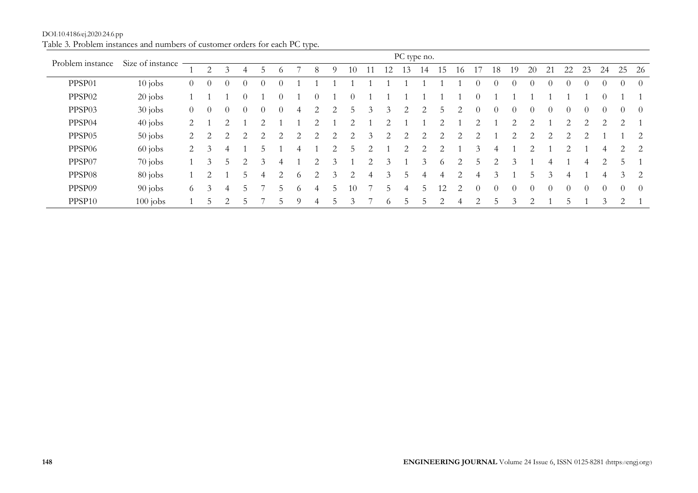|                    |                  |                |          |   |               |               |          |          |                             |               |                             |   |                                                                                                                                                                 |    | PC type no.   |                |                         |                             |          |                             |          |               |                               |          |                               |                |                |
|--------------------|------------------|----------------|----------|---|---------------|---------------|----------|----------|-----------------------------|---------------|-----------------------------|---|-----------------------------------------------------------------------------------------------------------------------------------------------------------------|----|---------------|----------------|-------------------------|-----------------------------|----------|-----------------------------|----------|---------------|-------------------------------|----------|-------------------------------|----------------|----------------|
| Problem instance   | Size of instance |                |          |   | 4             | $\mathcal{D}$ | $\Omega$ |          | 8                           |               | 10                          |   | 12                                                                                                                                                              | 13 | 14            | 15             | 16                      |                             | 18       | 19                          | 20       | 21            | 22                            | 23       | 24                            | 25             | -26            |
| PPSP01             | $10$ jobs        | $\theta$       | $\theta$ | 0 | $\Omega$      |               |          |          |                             |               |                             |   |                                                                                                                                                                 |    |               |                |                         |                             | $\Omega$ | $\Omega$                    |          | $\Omega$      |                               |          | $\left( \right)$              | $\Omega$       | $\overline{0}$ |
| PPSP02             | $20$ jobs        |                |          |   |               |               |          |          |                             |               |                             |   |                                                                                                                                                                 |    |               |                |                         |                             |          |                             |          |               |                               |          |                               |                |                |
| PPSP03             | $30$ jobs        | $\theta$       | $\theta$ |   | $\Omega$      |               | $\theta$ | 4        | 2                           |               | 5                           | 3 | 3                                                                                                                                                               | 2  | 2             | 5              | 2                       | $\theta$                    | $\Omega$ | $\theta$                    | $\Omega$ | $\Omega$      |                               |          | $\Omega$                      | $\Omega$       | -0             |
| PPSP04             | $40$ jobs        | 2              |          |   |               |               |          |          | $\mathcal{D}_{\mathcal{L}}$ |               | $\mathcal{D}_{\mathcal{A}}$ |   | $\mathcal{D}_{\mathcal{L}}^{\mathcal{L}}(\mathcal{L})=\mathcal{L}_{\mathcal{L}}^{\mathcal{L}}(\mathcal{L})\mathcal{L}_{\mathcal{L}}^{\mathcal{L}}(\mathcal{L})$ |    |               | 2              |                         | $\mathcal{D}_{\mathcal{L}}$ |          | $\mathfrak{D}$              | ◠        |               | $\mathfrak{D}_{\mathfrak{p}}$ | ◠        | $\mathfrak{D}_{\mathfrak{p}}$ | $\overline{2}$ |                |
| PPSP <sub>05</sub> | $50$ jobs        | $\overline{2}$ | 2        | 2 | 2             | 2             | 2        | 2        | 2                           |               | 2                           | 3 | 2                                                                                                                                                               | 2  | 2             | 2              | 2                       | 2                           |          | 2                           | 2        | 2             |                               | 2        |                               |                | 2              |
| PPSP <sub>06</sub> | $60$ jobs        | $\overline{2}$ |          | 4 |               | C.            |          |          |                             |               |                             |   |                                                                                                                                                                 | 2  | 2             | 2              |                         | 3                           |          |                             |          |               |                               |          | 4                             | 2              | <sup>2</sup>   |
| PPSP07             | $70$ jobs        |                |          | 5 |               |               |          |          | 2                           |               |                             |   | 3                                                                                                                                                               |    | 3             | $\circ$        |                         | C.                          |          | 3                           |          | 4             |                               | 4        |                               | 5              |                |
| PPSP <sub>08</sub> | $80$ jobs        |                |          |   |               | 4             | 2        | $\Omega$ | 2                           | $\mathcal{Z}$ | $\overline{c}$              | 4 | 3                                                                                                                                                               |    | 4             | 4              | 2                       |                             |          |                             | h.       | $\mathcal{Z}$ | 4                             |          | 4                             | 3              | <sup>2</sup>   |
| PPSP09             | $90$ jobs        | 6              |          | 4 | $\mathcal{L}$ |               |          | O.       | 4                           | $\mathcal{L}$ | 10                          |   | 5                                                                                                                                                               | 4  | $\mathcal{D}$ | 12             | $\mathcal{D}_{1}^{(1)}$ | $\Omega$                    | $\Omega$ | $\theta$                    | $\Omega$ | $\Omega$      | $\Omega$                      | $\Omega$ | $\theta$                      | $\theta$       | $\overline{0}$ |
| PPSP10             | $100$ jobs       |                |          | ⌒ |               |               |          | Q        |                             |               | 3                           |   | $\circ$                                                                                                                                                         | 5  | 5             | $\overline{c}$ | 4                       | $\overline{2}$              |          | $\mathcal{R}_{\mathcal{A}}$ |          |               |                               |          | $\mathcal{Z}$                 | $\mathcal{D}$  |                |

DOI:10.4186/ej.2020.24.6.pp Table 3*.* Problem instances and numbers of customer orders for each PC type*.*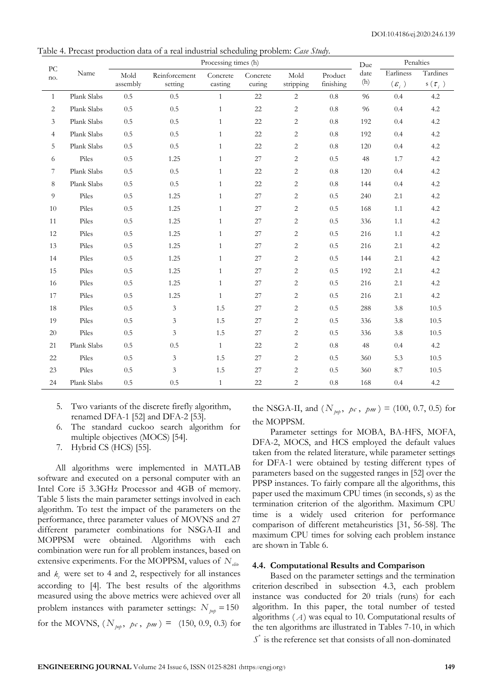Table 4. Precast production data of a real industrial scheduling problem: *Case Study*.

| ${\rm P}{\bf C}$ |             |                  |                          | Processing times (h) |                    |                   |                      | Due         | Penalties                      |                               |
|------------------|-------------|------------------|--------------------------|----------------------|--------------------|-------------------|----------------------|-------------|--------------------------------|-------------------------------|
| no.              | Name        | Mold<br>assembly | Reinforcement<br>setting | Concrete<br>casting  | Concrete<br>curing | Mold<br>stripping | Product<br>finishing | date<br>(h) | Earliness<br>$(\varepsilon_i)$ | Tardines<br>s ( $\tau_{_i}$ ) |
| $\mathbf{1}$     | Plank Slabs | 0.5              | 0.5                      | $\mathbf{1}$         | 22                 | $\overline{2}$    | $0.8\,$              | 96          | 0.4                            | 4.2                           |
| $\overline{2}$   | Plank Slabs | 0.5              | 0.5                      | $\mathbf{1}$         | 22                 | $\overline{c}$    | $0.8\,$              | 96          | 0.4                            | 4.2                           |
| 3                | Plank Slabs | 0.5              | 0.5                      | $\mathbf{1}$         | 22                 | $\sqrt{2}$        | 0.8                  | 192         | 0.4                            | 4.2                           |
| $\overline{4}$   | Plank Slabs | 0.5              | 0.5                      | $\mathbf{1}$         | 22                 | $\sqrt{2}$        | 0.8                  | 192         | 0.4                            | 4.2                           |
| 5                | Plank Slabs | 0.5              | 0.5                      | $\mathbf{1}$         | 22                 | $\overline{c}$    | $0.8\,$              | 120         | 0.4                            | 4.2                           |
| 6                | Piles       | 0.5              | 1.25                     | $\mathbf{1}$         | 27                 | $\sqrt{2}$        | 0.5                  | 48          | 1.7                            | $4.2\,$                       |
| 7                | Plank Slabs | 0.5              | 0.5                      | $\mathbf{1}$         | 22                 | $\overline{c}$    | 0.8                  | 120         | 0.4                            | 4.2                           |
| 8                | Plank Slabs | 0.5              | 0.5                      | $\mathbf{1}$         | 22                 | $\overline{c}$    | 0.8                  | 144         | 0.4                            | 4.2                           |
| 9                | Piles       | 0.5              | 1.25                     | $\mathbf{1}$         | 27                 | $\sqrt{2}$        | 0.5                  | 240         | 2.1                            | 4.2                           |
| 10               | Piles       | 0.5              | 1.25                     | $\mathbf{1}$         | 27                 | $\sqrt{2}$        | 0.5                  | 168         | 1.1                            | 4.2                           |
| 11               | Piles       | 0.5              | 1.25                     | $\mathbf{1}$         | 27                 | $\sqrt{2}$        | 0.5                  | 336         | 1.1                            | 4.2                           |
| 12               | Piles       | 0.5              | 1.25                     | $\mathbf{1}$         | 27                 | 2                 | 0.5                  | 216         | 1.1                            | 4.2                           |
| 13               | Piles       | 0.5              | 1.25                     | $\mathbf{1}$         | 27                 | $\sqrt{2}$        | 0.5                  | 216         | 2.1                            | 4.2                           |
| 14               | Piles       | 0.5              | 1.25                     | $\mathbf{1}$         | 27                 | $\overline{c}$    | 0.5                  | 144         | 2.1                            | 4.2                           |
| 15               | Piles       | 0.5              | 1.25                     | $\mathbf{1}$         | 27                 | $\overline{c}$    | 0.5                  | 192         | 2.1                            | 4.2                           |
| 16               | Piles       | 0.5              | 1.25                     | $\mathbf{1}$         | 27                 | $\overline{c}$    | 0.5                  | 216         | 2.1                            | 4.2                           |
| 17               | Piles       | 0.5              | 1.25                     | $\mathbf{1}$         | 27                 | $\sqrt{2}$        | 0.5                  | 216         | 2.1                            | 4.2                           |
| 18               | Piles       | 0.5              | 3                        | 1.5                  | 27                 | $\sqrt{2}$        | 0.5                  | 288         | 3.8                            | 10.5                          |
| 19               | Piles       | 0.5              | 3                        | 1.5                  | 27                 | $\sqrt{2}$        | 0.5                  | 336         | 3.8                            | 10.5                          |
| $20\,$           | Piles       | 0.5              | 3                        | 1.5                  | $27\,$             | $\sqrt{2}$        | 0.5                  | 336         | 3.8                            | 10.5                          |
| 21               | Plank Slabs | 0.5              | 0.5                      | $\mathbf{1}$         | 22                 | $\sqrt{2}$        | $0.8\,$              | 48          | 0.4                            | 4.2                           |
| 22               | Piles       | 0.5              | 3                        | 1.5                  | 27                 | $\sqrt{2}$        | 0.5                  | 360         | 5.3                            | 10.5                          |
| 23               | Piles       | 0.5              | 3                        | 1.5                  | 27                 | $\sqrt{2}$        | 0.5                  | 360         | 8.7                            | 10.5                          |
| 24               | Plank Slabs | 0.5              | $0.5\,$                  | $\mathbf{1}$         | 22                 | $\overline{c}$    | 0.8                  | 168         | 0.4                            | $4.2\,$                       |

- 5. Two variants of the discrete firefly algorithm, renamed DFA-1 [52] and DFA-2 [53].
- 6. The standard cuckoo search algorithm for multiple objectives (MOCS) [54].
- 7. Hybrid CS (HCS) [55].

All algorithms were implemented in MATLAB software and executed on a personal computer with an Intel Core i5 3.3GHz Processor and 4GB of memory. Table 5 lists the main parameter settings involved in each algorithm. To test the impact of the parameters on the performance, three parameter values of MOVNS and 27 different parameter combinations for NSGA*-*II and MOPPSM were obtained. Algorithms with each combination were run for all problem instances, based on extensive experiments. For the MOPPSM, values of  $N_{\text{eff}}$ and  $k<sub>t</sub>$  were set to 4 and 2, respectively for all instances according to [4]. The best results of the algorithms measured using the above metrics were achieved over all problem instances with parameter settings:  $N_{\text{pop}} = 150$ for the MOVNS,  $(N_{\text{pop}}, \, p_c, \, p_m) = (150, 0.9, 0.3)$  for the NSGA-II, and  $(N_{\text{pop}}, \, p_{\text{c}}, \, p_{\text{m}}) = (100, 0.7, 0.5)$  for the MOPPSM.

Parameter settings for MOBA, BA-HFS, MOFA, DFA-2, MOCS, and HCS employed the default values taken from the related literature, while parameter settings for DFA-1 were obtained by testing different types of parameters based on the suggested ranges in [52] over the PPSP instances. To fairly compare all the algorithms, this paper used the maximum CPU times (in seconds, s) as the termination criterion of the algorithm. Maximum CPU time is a widely used criterion for performance comparison of different metaheuristics [31, 56-58]. The maximum CPU times for solving each problem instance are shown in Table 6.

#### **4.4. Computational Results and Comparison**

Based on the parameter settings and the termination criterion described in subsection 4.3, each problem instance was conducted for 20 trials (runs) for each algorithm. In this paper, the total number of tested algorithms ( *A* ) was equal to 10. Computational results of the ten algorithms are illustrated in Tables 7-10, in which

 $S^*$  is the reference set that consists of all non-dominated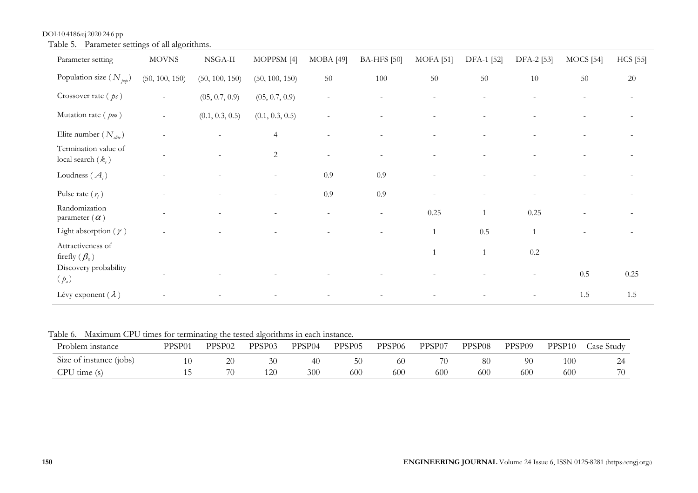| Parameter setting                              | <b>MOVNS</b>             | NSGA-II         | MOPPSM <sup>[4]</sup> | MOBA [49]      | <b>BA-HFS</b> [50] | <b>MOFA</b> [51] | DFA-1 [52] | DFA-2 [53]   | $MOCS$ [54] | <b>HCS</b> [55]          |
|------------------------------------------------|--------------------------|-----------------|-----------------------|----------------|--------------------|------------------|------------|--------------|-------------|--------------------------|
| Population size $(N_{\text{bot}})$             | (50, 100, 150)           | (50, 100, 150)  | (50, 100, 150)        | 50             | 100                | 50               | 50         | 10           | 50          | 20                       |
| Crossover rate $(pc)$                          | ÷.                       | (05, 0.7, 0.9)  | (05, 0.7, 0.9)        | $\sim$         |                    |                  |            |              |             | $\overline{\phantom{a}}$ |
| Mutation rate $(pm)$                           | $\overline{\phantom{a}}$ | (0.1, 0.3, 0.5) | (0.1, 0.3, 0.5)       | $\overline{a}$ |                    |                  |            |              |             |                          |
| Elite number $(N_{\text{elite}})$              |                          |                 | $\overline{4}$        |                |                    |                  |            |              |             |                          |
| Termination value of<br>local search $(k_{t})$ |                          |                 | $\overline{2}$        | $\sim$         |                    |                  |            |              |             |                          |
| Loudness $(A_i)$                               |                          |                 |                       | 0.9            | 0.9                |                  |            |              |             |                          |
| Pulse rate $(r_i)$                             |                          |                 |                       | 0.9            | 0.9                |                  |            |              |             | $\sim$                   |
| Randomization<br>parameter $(\alpha)$          |                          |                 |                       |                |                    | 0.25             |            | 0.25         |             |                          |
| Light absorption ( $\gamma$ )                  |                          |                 |                       |                |                    | $\mathbf{1}$     | 0.5        | $\mathbf{1}$ |             | $\overline{\phantom{a}}$ |
| Attractiveness of<br>firefly $(\beta_0)$       |                          |                 |                       |                |                    | $\mathbf{1}$     |            | 0.2          |             | $\overline{\phantom{a}}$ |
| Discovery probability<br>$(p_a)$               |                          |                 |                       |                |                    |                  |            |              | 0.5         | 0.25                     |
| Lévy exponent $(\lambda)$                      |                          |                 |                       |                |                    |                  |            |              | 1.5         | 1.5                      |

DOI:10.4186/ej.2020.24.6.pp Table 5. Parameter settings of all algorithms.

Table 6. Maximum CPU times for terminating the tested algorithms in each instance.

| Problem instance        | PPSP01 | PPSP <sub>02</sub> | PPSP <sub>03</sub> | PPSP <sub>04</sub> | PPSP05 | PPSP <sub>06</sub> | PPSP07 | PPSP <sub>08</sub> | PPSP09 | PPSP <sub>10</sub> | Case Studv |
|-------------------------|--------|--------------------|--------------------|--------------------|--------|--------------------|--------|--------------------|--------|--------------------|------------|
| Size of instance (jobs) |        | 20                 |                    | 40                 | 50     | 60                 |        | 80                 | 90     | 100                |            |
| CPU time(s)             |        |                    |                    | 300                | 600    | 600                | 600    | 600                | 600    | 600                | 70         |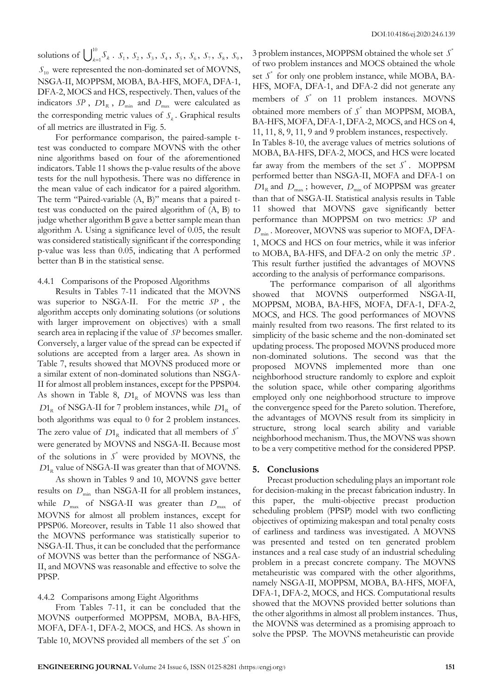solutions of  $\int_{t_1}^{10}$  $\sum_{k=1}^{10} S_k$ .  $S_1$ ,  $S_2$ ,  $S_3$ ,  $S_4$ ,  $S_5$ ,  $S_6$ ,  $S_7$ ,  $S_8$ ,  $S_9$ , *S*<sup>10</sup> were represented the non-dominated set of MOVNS, NSGA-II, MOPPSM, MOBA, BA-HFS, MOFA, DFA-1, DFA-2, MOCS and HCS, respectively. Then, values of the indicators  $SP$ ,  $D1_R$ ,  $D_{min}$  and  $D_{max}$  were calculated as the corresponding metric values of  $S_k$ . Graphical results of all metrics are illustrated in Fig. 5.

For performance comparison, the paired-sample ttest was conducted to compare MOVNS with the other nine algorithms based on four of the aforementioned indicators. Table 11 shows the p-value results of the above tests for the null hypothesis. There was no difference in the mean value of each indicator for a paired algorithm. The term "Paired-variable (A, B)" means that a paired ttest was conducted on the paired algorithm of (A, B) to judge whether algorithm B gave a better sample mean than algorithm A. Using a significance level of 0.05, the result was considered statistically significant if the corresponding p-value was less than 0.05, indicating that A performed better than B in the statistical sense.

# 4.4.1 Comparisons of the Proposed Algorithms

Results in Tables 7-11 indicated that the MOVNS was superior to NSGA-II. For the metric *SP* , the algorithm accepts only dominating solutions (or solutions with larger improvement on objectives) with a small search area in replacing if the value of *SP* becomes smaller. Conversely, a larger value of the spread can be expected if solutions are accepted from a larger area. As shown in Table 7, results showed that MOVNS produced more or a similar extent of non-dominated solutions than NSGA-II for almost all problem instances, except for the PPSP04. As shown in Table 8,  $D1_R$  of MOVNS was less than  $D1_R$  of NSGA-II for 7 problem instances, while  $D1_R$  of both algorithms was equal to 0 for 2 problem instances. The zero value of  $D1_R$  indicated that all members of  $S^*$ were generated by MOVNS and NSGA-II. Because most of the solutions in  $S^*$  were provided by MOVNS, the  $D1_R$  value of NSGA-II was greater than that of MOVNS.

As shown in Tables 9 and 10, MOVNS gave better results on  $D_{\text{min}}$  than NSGA-II for all problem instances, while  $D_{\text{max}}$  of NSGA-II was greater than  $D_{\text{max}}$  of MOVNS for almost all problem instances, except for PPSP06. Moreover, results in Table 11 also showed that the MOVNS performance was statistically superior to NSGA-II. Thus, it can be concluded that the performance of MOVNS was better than the performance of NSGA-II, and MOVNS was reasonable and effective to solve the PPSP.

## 4.4.2 Comparisons among Eight Algorithms

From Tables 7-11, it can be concluded that the MOVNS outperformed MOPPSM, MOBA, BA-HFS, MOFA, DFA-1, DFA-2, MOCS, and HCS. As shown in Table 10, MOVNS provided all members of the set  $S^*$  on

3 problem instances, MOPPSM obtained the whole set \* *S* of two problem instances and MOCS obtained the whole set  $S^*$  for only one problem instance, while MOBA, BA-HFS, MOFA, DFA-1, and DFA-2 did not generate any members of  $S^*$  on 11 problem instances. MOVNS obtained more members of  $S^*$  than MOPPSM, MOBA, BA-HFS, MOFA, DFA-1, DFA-2, MOCS, and HCS on 4, 11, 11, 8, 9, 11, 9 and 9 problem instances, respectively. In Tables 8-10, the average values of metrics solutions of MOBA, BA-HFS, DFA-2, MOCS, and HCS were located far away from the members of the set  $S^*$ . MOPPSM performed better than NSGA-II, MOFA and DFA-1 on  $D1_R$  and  $D_{\text{max}}$ ; however,  $D_{\text{min}}$  of MOPPSM was greater than that of NSGA-II. Statistical analysis results in Table 11 showed that MOVNS gave significantly better performance than MOPPSM on two metrics: *SP* and  $D_{\text{min}}$ . Moreover, MOVNS was superior to MOFA, DFA-1, MOCS and HCS on four metrics, while it was inferior to MOBA, BA-HFS, and DFA-2 on only the metric *SP* . This result further justified the advantages of MOVNS

according to the analysis of performance comparisons. The performance comparison of all algorithms showed that MOVNS outperformed NSGA-II, MOPPSM, MOBA, BA-HFS, MOFA, DFA-1, DFA-2, MOCS, and HCS. The good performances of MOVNS mainly resulted from two reasons. The first related to its simplicity of the basic scheme and the non-dominated set updating process. The proposed MOVNS produced more non-dominated solutions. The second was that the proposed MOVNS implemented more than one neighborhood structure randomly to explore and exploit the solution space, while other comparing algorithms employed only one neighborhood structure to improve the convergence speed for the Pareto solution. Therefore, the advantages of MOVNS result from its simplicity in structure, strong local search ability and variable neighborhood mechanism. Thus, the MOVNS was shown to be a very competitive method for the considered PPSP.

#### **5. Conclusions**

Precast production scheduling plays an important role for decision-making in the precast fabrication industry. In this paper, the multi-objective precast production scheduling problem (PPSP) model with two conflicting objectives of optimizing makespan and total penalty costs of earliness and tardiness was investigated. A MOVNS was presented and tested on ten generated problem instances and a real case study of an industrial scheduling problem in a precast concrete company. The MOVNS metaheuristic was compared with the other algorithms, namely NSGA-II, MOPPSM, MOBA, BA-HFS, MOFA, DFA-1, DFA-2, MOCS, and HCS. Computational results showed that the MOVNS provided better solutions than the other algorithms in almost all problem instances. Thus, the MOVNS was determined as a promising approach to solve the PPSP. The MOVNS metaheuristic can provide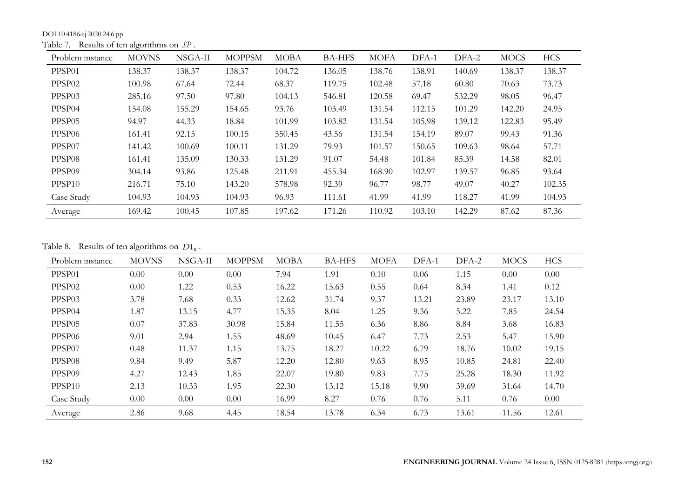DOI:10.4186/ej.2020.24.6.pp

Table 7. Results of ten algorithms on *SP* .

| Problem instance   | <b>MOVNS</b> | NSGA-II | <b>MOPPSM</b> | <b>MOBA</b> | <b>BA-HFS</b> | <b>MOFA</b> | DFA-1  | DFA-2  | <b>MOCS</b> | <b>HCS</b> |
|--------------------|--------------|---------|---------------|-------------|---------------|-------------|--------|--------|-------------|------------|
| PPSP <sub>01</sub> | 138.37       | 138.37  | 138.37        | 104.72      | 136.05        | 138.76      | 138.91 | 140.69 | 138.37      | 138.37     |
| PPSP <sub>02</sub> | 100.98       | 67.64   | 72.44         | 68.37       | 119.75        | 102.48      | 57.18  | 60.80  | 70.63       | 73.73      |
| PPSP03             | 285.16       | 97.50   | 97.80         | 104.13      | 546.81        | 120.58      | 69.47  | 532.29 | 98.05       | 96.47      |
| PPSP04             | 154.08       | 155.29  | 154.65        | 93.76       | 103.49        | 131.54      | 112.15 | 101.29 | 142.20      | 24.95      |
| PPSP <sub>05</sub> | 94.97        | 44.33   | 18.84         | 101.99      | 103.82        | 131.54      | 105.98 | 139.12 | 122.83      | 95.49      |
| PPSP <sub>06</sub> | 161.41       | 92.15   | 100.15        | 550.45      | 43.56         | 131.54      | 154.19 | 89.07  | 99.43       | 91.36      |
| PPSP07             | 141.42       | 100.69  | 100.11        | 131.29      | 79.93         | 101.57      | 150.65 | 109.63 | 98.64       | 57.71      |
| PPSP08             | 161.41       | 135.09  | 130.33        | 131.29      | 91.07         | 54.48       | 101.84 | 85.39  | 14.58       | 82.01      |
| PPSP09             | 304.14       | 93.86   | 125.48        | 211.91      | 455.34        | 168.90      | 102.97 | 139.57 | 96.85       | 93.64      |
| PPSP <sub>10</sub> | 216.71       | 75.10   | 143.20        | 578.98      | 92.39         | 96.77       | 98.77  | 49.07  | 40.27       | 102.35     |
| Case Study         | 104.93       | 104.93  | 104.93        | 96.93       | 111.61        | 41.99       | 41.99  | 118.27 | 41.99       | 104.93     |
| Average            | 169.42       | 100.45  | 107.85        | 197.62      | 171.26        | 110.92      | 103.10 | 142.29 | 87.62       | 87.36      |

Table 8. Results of ten algorithms on  $D1_R$ .

| Problem instance   | <b>MOVNS</b> | NSGA-II           | <b>MOPPSM</b> | MOBA  | <b>BA-HFS</b> | <b>MOFA</b> | DFA-1 | DFA-2 | <b>MOCS</b> | <b>HCS</b> |
|--------------------|--------------|-------------------|---------------|-------|---------------|-------------|-------|-------|-------------|------------|
| PPSP01             | 0.00         | 0.00              | 0.00          | 7.94  | 1.91          | 0.10        | 0.06  | 1.15  | 0.00        | 0.00       |
| PPSP <sub>02</sub> | 0.00         | 1.22              | 0.53          | 16.22 | 15.63         | 0.55        | 0.64  | 8.34  | 1.41        | 0.12       |
| PPSP03             | 3.78         | 7.68              | 0.33          | 12.62 | 31.74         | 9.37        | 13.21 | 23.89 | 23.17       | 13.10      |
| PPSP04             | 1.87         | 13.15             | 4.77          | 15.35 | 8.04          | 1.25        | 9.36  | 5.22  | 7.85        | 24.54      |
| PPSP <sub>05</sub> | 0.07         | 37.83             | 30.98         | 15.84 | 11.55         | 6.36        | 8.86  | 8.84  | 3.68        | 16.83      |
| PPSP06             | 9.01         | 2.94              | 1.55          | 48.69 | 10.45         | 6.47        | 7.73  | 2.53  | 5.47        | 15.90      |
| PPSP07             | 0.48         | 11.37             | 1.15          | 13.75 | 18.27         | 10.22       | 6.79  | 18.76 | 10.02       | 19.15      |
| PPSP08             | 9.84         | 9.49              | 5.87          | 12.20 | 12.80         | 9.63        | 8.95  | 10.85 | 24.81       | 22.40      |
| PPSP <sub>09</sub> | 4.27         | 12.43             | 1.85          | 22.07 | 19.80         | 9.83        | 7.75  | 25.28 | 18.30       | 11.92      |
| PPSP <sub>10</sub> | 2.13         | 10.33             | 1.95          | 22.30 | 13.12         | 15.18       | 9.90  | 39.69 | 31.64       | 14.70      |
| Case Study         | 0.00         | 0.00 <sub>1</sub> | 0.00          | 16.99 | 8.27          | 0.76        | 0.76  | 5.11  | 0.76        | $0.00\,$   |
| Average            | 2.86         | 9.68              | 4.45          | 18.54 | 13.78         | 6.34        | 6.73  | 13.61 | 11.56       | 12.61      |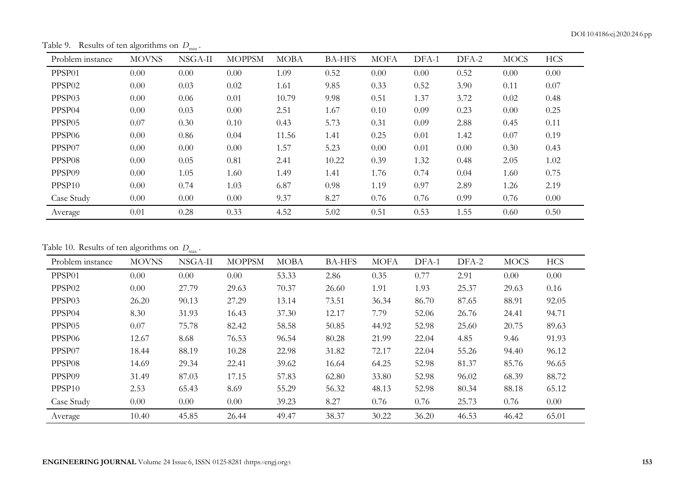Table 9. Results of ten algorithms on  $D_{\min}$ .

| Problem instance   | <b>MOVNS</b> | NSGA-II  | <b>MOPPSM</b> | <b>MOBA</b> | <b>BA-HFS</b> | <b>MOFA</b> | DFA-1 | DFA-2 | <b>MOCS</b> | <b>HCS</b> |
|--------------------|--------------|----------|---------------|-------------|---------------|-------------|-------|-------|-------------|------------|
| PPSP01             | 0.00         | $0.00\,$ | 0.00          | 1.09        | 0.52          | 0.00        | 0.00  | 0.52  | 0.00        | 0.00       |
| PPSP <sub>02</sub> | 0.00         | 0.03     | 0.02          | 1.61        | 9.85          | 0.33        | 0.52  | 3.90  | 0.11        | 0.07       |
| PPSP <sub>03</sub> | 0.00         | 0.06     | 0.01          | 10.79       | 9.98          | 0.51        | 1.37  | 3.72  | 0.02        | 0.48       |
| PPSP04             | 0.00         | 0.03     | 0.00          | 2.51        | 1.67          | 0.10        | 0.09  | 0.23  | 0.00        | 0.25       |
| PPSP <sub>05</sub> | 0.07         | 0.30     | 0.10          | 0.43        | 5.73          | 0.31        | 0.09  | 2.88  | 0.45        | 0.11       |
| PPSP <sub>06</sub> | 0.00         | 0.86     | 0.04          | 11.56       | 1.41          | 0.25        | 0.01  | 1.42  | 0.07        | 0.19       |
| PPSP07             | 0.00         | $0.00\,$ | 0.00          | 1.57        | 5.23          | 0.00        | 0.01  | 0.00  | 0.30        | 0.43       |
| PPSP <sub>08</sub> | 0.00         | 0.05     | 0.81          | 2.41        | 10.22         | 0.39        | 1.32  | 0.48  | 2.05        | 1.02       |
| PPSP <sub>09</sub> | 0.00         | 1.05     | 1.60          | 1.49        | 1.41          | 1.76        | 0.74  | 0.04  | 1.60        | 0.75       |
| PPSP10             | 0.00         | 0.74     | 1.03          | 6.87        | 0.98          | 1.19        | 0.97  | 2.89  | 1.26        | 2.19       |
| Case Study         | 0.00         | $0.00\,$ | 0.00          | 9.37        | 8.27          | 0.76        | 0.76  | 0.99  | 0.76        | 0.00       |
| Average            | 0.01         | 0.28     | 0.33          | 4.52        | 5.02          | 0.51        | 0.53  | 1.55  | 0.60        | 0.50       |

Table 10. Results of ten algorithms on  $D_{\text{max}}$ .

| Problem instance   | <b>MOVNS</b> | NSGA-II | <b>MOPPSM</b> | <b>MOBA</b> | <b>BA-HFS</b> | <b>MOFA</b> | DFA-1 | DFA-2 | <b>MOCS</b> | <b>HCS</b> |
|--------------------|--------------|---------|---------------|-------------|---------------|-------------|-------|-------|-------------|------------|
| PPSP01             | 0.00         | 0.00    | 0.00          | 53.33       | 2.86          | 0.35        | 0.77  | 2.91  | 0.00        | 0.00       |
| PPSP <sub>02</sub> | 0.00         | 27.79   | 29.63         | 70.37       | 26.60         | 1.91        | 1.93  | 25.37 | 29.63       | 0.16       |
| PPSP03             | 26.20        | 90.13   | 27.29         | 13.14       | 73.51         | 36.34       | 86.70 | 87.65 | 88.91       | 92.05      |
| PPSP <sub>04</sub> | 8.30         | 31.93   | 16.43         | 37.30       | 12.17         | 7.79        | 52.06 | 26.76 | 24.41       | 94.71      |
| PPSP <sub>05</sub> | 0.07         | 75.78   | 82.42         | 58.58       | 50.85         | 44.92       | 52.98 | 25.60 | 20.75       | 89.63      |
| PPSP06             | 12.67        | 8.68    | 76.53         | 96.54       | 80.28         | 21.99       | 22.04 | 4.85  | 9.46        | 91.93      |
| PPSP07             | 18.44        | 88.19   | 10.28         | 22.98       | 31.82         | 72.17       | 22.04 | 55.26 | 94.40       | 96.12      |
| PPSP08             | 14.69        | 29.34   | 22.41         | 39.62       | 16.64         | 64.25       | 52.98 | 81.37 | 85.76       | 96.65      |
| PPSP <sub>09</sub> | 31.49        | 87.03   | 17.15         | 57.83       | 62.80         | 33.80       | 52.98 | 96.02 | 68.39       | 88.72      |
| PPSP <sub>10</sub> | 2.53         | 65.43   | 8.69          | 55.29       | 56.32         | 48.13       | 52.98 | 80.34 | 88.18       | 65.12      |
| Case Study         | 0.00         | 0.00    | 0.00          | 39.23       | 8.27          | 0.76        | 0.76  | 25.73 | 0.76        | 0.00       |
| Average            | 10.40        | 45.85   | 26.44         | 49.47       | 38.37         | 30.22       | 36.20 | 46.53 | 46.42       | 65.01      |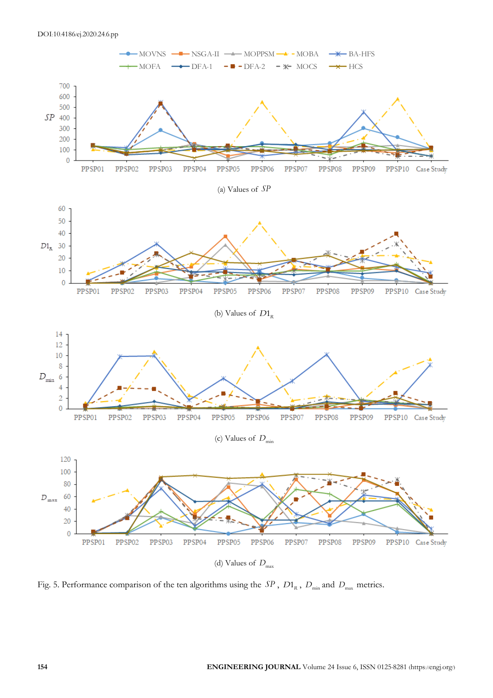

Fig. 5. Performance comparison of the ten algorithms using the  $SP$ ,  $D1_R$ ,  $D_{min}$  and  $D_{max}$  metrics.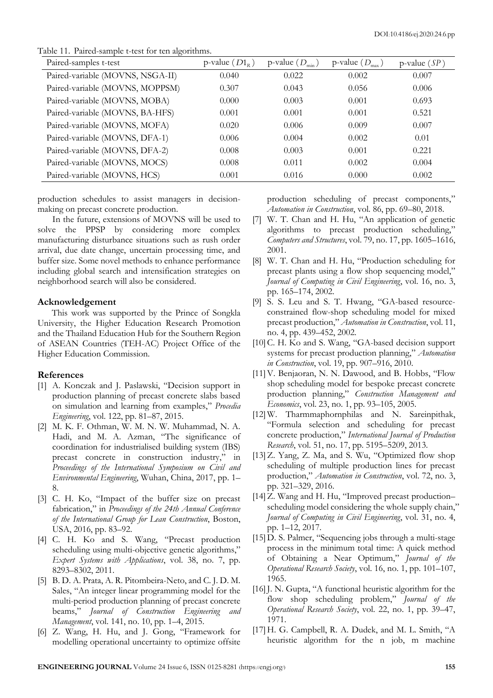Table 11. Paired-sample t-test for ten algorithms.

| Paired-samples t-test            | p-value $(D1_{R})$ | p-value $(D_{\min})$ | p-value $(D_{\text{max}})$ | p-value $(SP)$ |
|----------------------------------|--------------------|----------------------|----------------------------|----------------|
| Paired-variable (MOVNS, NSGA-II) | 0.040              | 0.022                | 0.002                      | 0.007          |
| Paired-variable (MOVNS, MOPPSM)  | 0.307              | 0.043                | 0.056                      | 0.006          |
| Paired-variable (MOVNS, MOBA)    | 0.000              | 0.003                | 0.001                      | 0.693          |
| Paired-variable (MOVNS, BA-HFS)  | 0.001              | 0.001                | 0.001                      | 0.521          |
| Paired-variable (MOVNS, MOFA)    | 0.020              | 0.006                | 0.009                      | 0.007          |
| Paired-variable (MOVNS, DFA-1)   | 0.006              | 0.004                | 0.002                      | 0.01           |
| Paired-variable (MOVNS, DFA-2)   | 0.008              | 0.003                | 0.001                      | 0.221          |
| Paired-variable (MOVNS, MOCS)    | 0.008              | 0.011                | 0.002                      | 0.004          |
| Paired-variable (MOVNS, HCS)     | 0.001              | 0.016                | 0.000                      | 0.002          |

production schedules to assist managers in decisionmaking on precast concrete production.

In the future, extensions of MOVNS will be used to solve the PPSP by considering more complex manufacturing disturbance situations such as rush order arrival, due date change, uncertain processing time, and buffer size. Some novel methods to enhance performance including global search and intensification strategies on neighborhood search will also be considered.

## **Acknowledgement**

This work was supported by the Prince of Songkla University, the Higher Education Research Promotion and the Thailand Education Hub for the Southern Region of ASEAN Countries (TEH-AC) Project Office of the Higher Education Commission.

# **References**

- [1] A. Konczak and J. Paslawski, "Decision support in production planning of precast concrete slabs based on simulation and learning from examples," *Procedia Engineering*, vol. 122, pp. 81–87, 2015.
- [2] M. K. F. Othman, W. M. N. W. Muhammad, N. A. Hadi, and M. A. Azman, "The significance of coordination for industrialised building system (IBS) precast concrete in construction industry," in *Proceedings of the International Symposium on Civil and Environmental Engineering*, Wuhan, China, 2017, pp. 1– 8.
- [3] C. H. Ko, "Impact of the buffer size on precast fabrication," in *Proceedings of the 24th Annual Conference of the International Group for Lean Construction*, Boston, USA, 2016, pp. 83–92.
- [4] C. H. Ko and S. Wang, "Precast production scheduling using multi-objective genetic algorithms," *Expert Systems with Applications*, vol. 38, no. 7, pp. 8293–8302, 2011.
- [5] B. D. A. Prata, A. R. Pitombeira-Neto, and C. J. D. M. Sales, "An integer linear programming model for the multi-period production planning of precast concrete beams," *Journal of Construction Engineering and Management*, vol. 141, no. 10, pp. 1–4, 2015.
- [6] Z. Wang, H. Hu, and J. Gong, "Framework for modelling operational uncertainty to optimize offsite

production scheduling of precast components," *Automation in Construction*, vol. 86, pp. 69–80, 2018.

- [7] W. T. Chan and H. Hu, "An application of genetic algorithms to precast production scheduling," *Computers and Structures*, vol. 79, no. 17, pp. 1605–1616, 2001.
- [8] W. T. Chan and H. Hu, "Production scheduling for precast plants using a flow shop sequencing model," *Journal of Computing in Civil Engineering*, vol. 16, no. 3, pp. 165–174, 2002.
- [9] S. S. Leu and S. T. Hwang, "GA-based resourceconstrained flow-shop scheduling model for mixed precast production," *Automation in Construction*, vol. 11, no. 4, pp. 439–452, 2002.
- [10] C. H. Ko and S. Wang, "GA-based decision support systems for precast production planning," *Automation in Construction*, vol. 19, pp. 907–916, 2010.
- [11]V. Benjaoran, N. N. Dawood, and B. Hobbs, "Flow shop scheduling model for bespoke precast concrete production planning," *Construction Management and Economics*, vol. 23, no. 1, pp. 93–105, 2005.
- [12]W. Tharmmaphornphilas and N. Sareinpithak, "Formula selection and scheduling for precast concrete production," *International Journal of Production Research*, vol. 51, no. 17, pp. 5195–5209, 2013.
- [13] Z. Yang, Z. Ma, and S. Wu, "Optimized flow shop scheduling of multiple production lines for precast production," *Automation in Construction*, vol. 72, no. 3, pp. 321–329, 2016.
- [14] Z. Wang and H. Hu, "Improved precast productionscheduling model considering the whole supply chain," *Journal of Computing in Civil Engineering*, vol. 31, no. 4, pp. 1–12, 2017.
- [15]D. S. Palmer, "Sequencing jobs through a multi-stage process in the minimum total time: A quick method of Obtaining a Near Optimum," *Journal of the Operational Research Society*, vol. 16, no. 1, pp. 101–107, 1965.
- [16] J. N. Gupta, "A functional heuristic algorithm for the flow shop scheduling problem," *Journal of the Operational Research Society*, vol. 22, no. 1, pp. 39–47, 1971.
- [17]H. G. Campbell, R. A. Dudek, and M. L. Smith, "A heuristic algorithm for the n job, m machine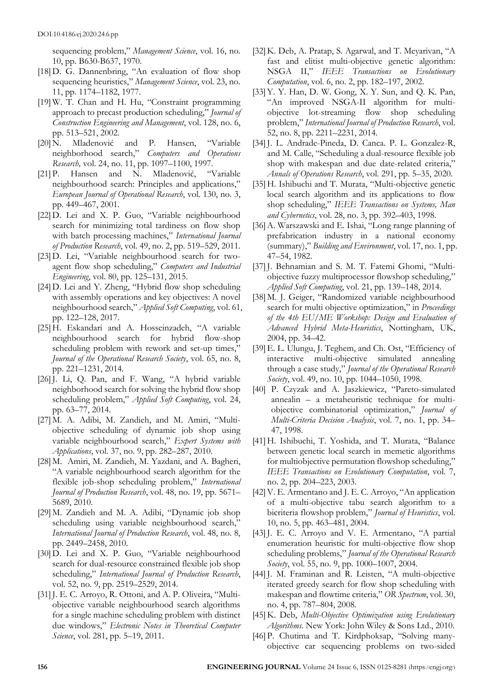sequencing problem," *Management Science*, vol. 16, no. 10, pp. B630-B637, 1970.

- [18] D. G. Dannenbring, "An evaluation of flow shop sequencing heuristics," *Management Science*, vol. 23, no. 11, pp. 1174–1182, 1977.
- [19]W. T. Chan and H. Hu, "Constraint programming approach to precast production scheduling," *Journal of Construction Engineering and Management*, vol. 128, no. 6, pp. 513–521, 2002.
- [20]N. Mladenović and P. Hansen, "Variable neighborhood search," *Computers and Operations Research,* vol. 24, no. 11, pp. 1097–1100, 1997.
- [21] P. Hansen and N. Mladenović, "Variable neighbourhood search: Principles and applications," *European Journal of Operational Research*, vol. 130, no. 3, pp. 449–467, 2001.
- [22]D. Lei and X. P. Guo, "Variable neighbourhood search for minimizing total tardiness on flow shop with batch processing machines," *International Journal of Production Research*, vol. 49, no. 2, pp. 519–529, 2011.
- [23]D. Lei, "Variable neighbourhood search for twoagent flow shop scheduling," *Computers and Industrial Engineering*, vol. 80, pp. 125–131, 2015.
- [24]D. Lei and Y. Zheng, "Hybrid flow shop scheduling with assembly operations and key objectives: A novel neighbourhood search," *Applied Soft Computing*, vol. 61, pp. 122–128, 2017.
- [25]H. Eskandari and A. Hosseinzadeh, "A variable neighbourhood search for hybrid flow-shop scheduling problem with rework and set-up times," *Journal of the Operational Research Society*, vol. 65, no. 8, pp. 221–1231, 2014.
- [26] J. Li, Q. Pan, and F. Wang, "A hybrid variable neighborhood search for solving the hybrid flow shop scheduling problem," *Applied Soft Computing*, vol. 24, pp. 63–77, 2014.
- [27] M. A. Adibi, M. Zandieh, and M. Amiri, "Multiobjective scheduling of dynamic job shop using variable neighbourhood search," *Expert Systems with Applications*, vol. 37, no. 9, pp. 282–287, 2010.
- [28] M. Amiri, M. Zandieh, M. Yazdani, and A. Bagheri, "A variable neighbourhood search algorithm for the flexible job-shop scheduling problem," *International Journal of Production Research*, vol. 48, no. 19, pp. 5671– 5689, 2010.
- [29] M. Zandieh and M. A. Adibi, "Dynamic job shop scheduling using variable neighbourhood search," *International Journal of Production Research*, vol. 48, no. 8, pp. 2449–2458, 2010.
- [30]D. Lei and X. P. Guo, "Variable neighbourhood search for dual-resource constrained flexible job shop scheduling," *International Journal of Production Research*, vol. 52, no. 9, pp. 2519–2529, 2014.
- [31] J. E. C. Arroyo, R. Ottoni, and A. P. Oliveira, "Multiobjective variable neighbourhood search algorithms for a single machine scheduling problem with distinct due windows," *Electronic Notes in Theoretical Computer Science*, vol. 281, pp. 5–19, 2011.
- [32] K. Deb, A. Pratap, S. Agarwal, and T. Meyarivan, "A fast and elitist multi-objective genetic algorithm: NSGA II," *IEEE Transactions on Evolutionary Computation*, vol. 6, no. 2, pp. 182–197, 2002.
- [33]Y. Y. Han, D. W. Gong, X. Y. Sun, and Q. K. Pan, "An improved NSGA-II algorithm for multiobjective lot-streaming flow shop scheduling problem," *International Journal of Production Research*, vol. 52, no. 8, pp. 2211–2231, 2014.
- [34] J. L. Andrade-Pineda, D. Canca. P. L. Gonzalez-R, and M. Calle, "Scheduling a dual-resource flexible job shop with makespan and due date-related criteria," *Annals of Operations Research*, vol. 291, pp. 5–35, 2020.
- [35]H. Ishibuchi and T. Murata, "Multi-objective genetic local search algorithm and its applications to flow shop scheduling," *IEEE Transactions on Systems, Man and Cybernetics*, vol. 28, no. 3, pp. 392–403, 1998.
- [36]A. Warszawski and E. Ishai, "Long range planning of prefabrication industry in a national economy (summary)," *Building and Environment*, vol. 17, no. 1, pp. 47–54, 1982.
- [37]J. Behnamian and S. M. T. Fatemi Ghomi, "Multiobjective fuzzy multiprocessor flowshop scheduling," *Applied Soft Computing*, vol. 21, pp. 139–148, 2014.
- [38] M. J. Geiger, "Randomized variable neighbourhood search for multi objective optimization," in *Proceedings of the 4th EU/ME Workshop: Design and Evaluation of Advanced Hybrid Meta-Heuristics*, Nottingham, UK, 2004, pp. 34–42.
- [39]E. L. Ulungu, J. Teghem, and Ch. Ost, "Efficiency of interactive multi-objective simulated annealing through a case study," *Journal of the Operational Research Society*, vol. 49, no. 10, pp. 1044–1050, 1998.
- [40] P. Czyzak and A. Jaszkiewicz, "Pareto-simulated annealin – a metaheuristic technique for multiobjective combinatorial optimization," *Journal of Multi-Criteria Decision Analysis*, vol. 7, no. 1, pp. 34– 47, 1998.
- [41]H. Ishibuchi, T. Yoshida, and T. Murata, "Balance between genetic local search in memetic algorithms for multiobjective permutation flowshop scheduling," *IEEE Transactions on Evolutionary Computation*, vol. 7, no. 2, pp. 204–223, 2003.
- [42]V. E. Armentano and J. E. C. Arroyo, "An application of a multi-objective tabu search algorithm to a bicriteria flowshop problem," *Journal of Heuristics*, vol. 10, no. 5, pp. 463–481, 2004.
- [43] J. E. C. Arroyo and V. E. Armentano, "A partial enumeration heuristic for multi-objective flow shop scheduling problems," *Journal of the Operational Research Society*, vol. 55, no. 9, pp. 1000–1007, 2004.
- [44] J. M. Framinan and R. Leisten, "A multi-objective iterated greedy search for flow shop scheduling with makespan and flowtime criteria," *OR Spectrum*, vol. 30, no. 4, pp. 787–804, 2008.
- [45]K. Deb, *Multi-Objective Optimization using Evolutionary Algorithms*. New York: John Wiley & Sons Ltd., 2010.
- [46]P. Chutima and T. Kirdphoksap, "Solving manyobjective car sequencing problems on two-sided